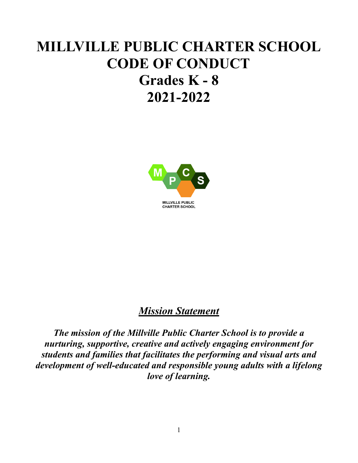# **MILLVILLE PUBLIC CHARTER SCHOOL CODE OF CONDUCT Grades K - 8 2021-2022**



## *Mission Statement*

*The mission of the Millville Public Charter School is to provide a nurturing, supportive, creative and actively engaging environment for students and families that facilitates the performing and visual arts and development of well-educated and responsible young adults with a lifelong love of learning.*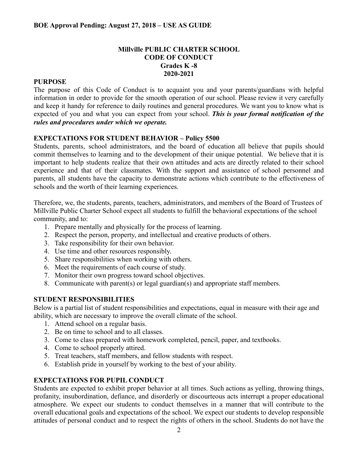#### **Millville PUBLIC CHARTER SCHOOL CODE OF CONDUCT Grades K -8 2020-2021**

#### **PURPOSE**

The purpose of this Code of Conduct is to acquaint you and your parents/guardians with helpful information in order to provide for the smooth operation of our school. Please review it very carefully and keep it handy for reference to daily routines and general procedures. We want you to know what is expected of you and what you can expect from your school. *This is your formal notification of the rules and procedures under which we operate.*

#### **EXPECTATIONS FOR STUDENT BEHAVIOR – Policy 5500**

Students, parents, school administrators, and the board of education all believe that pupils should commit themselves to learning and to the development of their unique potential. We believe that it is important to help students realize that their own attitudes and acts are directly related to their school experience and that of their classmates. With the support and assistance of school personnel and parents, all students have the capacity to demonstrate actions which contribute to the effectiveness of schools and the worth of their learning experiences.

Therefore, we, the students, parents, teachers, administrators, and members of the Board of Trustees of Millville Public Charter School expect all students to fulfill the behavioral expectations of the school community, and to:

- 1. Prepare mentally and physically for the process of learning.
- 2. Respect the person, property, and intellectual and creative products of others.
- 3. Take responsibility for their own behavior.
- 4. Use time and other resources responsibly.
- 5. Share responsibilities when working with others.
- 6. Meet the requirements of each course of study.
- 7. Monitor their own progress toward school objectives.
- 8. Communicate with parent(s) or legal guardian(s) and appropriate staff members.

#### **STUDENT RESPONSIBILITIES**

Below is a partial list of student responsibilities and expectations, equal in measure with their age and ability, which are necessary to improve the overall climate of the school.

- 1. Attend school on a regular basis.
- 2. Be on time to school and to all classes.
- 3. Come to class prepared with homework completed, pencil, paper, and textbooks.
- 4. Come to school properly attired.
- 5. Treat teachers, staff members, and fellow students with respect.
- 6. Establish pride in yourself by working to the best of your ability.

#### **EXPECTATIONS FOR PUPIL CONDUCT**

Students are expected to exhibit proper behavior at all times. Such actions as yelling, throwing things, profanity, insubordination, defiance, and disorderly or discourteous acts interrupt a proper educational atmosphere. We expect our students to conduct themselves in a manner that will contribute to the overall educational goals and expectations of the school. We expect our students to develop responsible attitudes of personal conduct and to respect the rights of others in the school. Students do not have the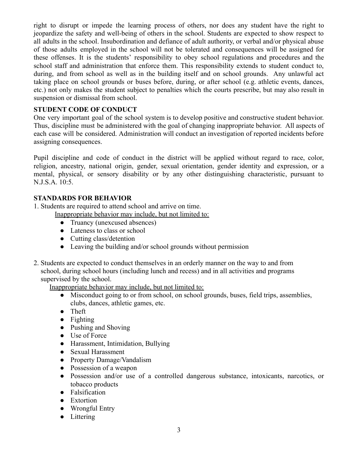right to disrupt or impede the learning process of others, nor does any student have the right to jeopardize the safety and well-being of others in the school. Students are expected to show respect to all adults in the school. Insubordination and defiance of adult authority, or verbal and/or physical abuse of those adults employed in the school will not be tolerated and consequences will be assigned for these offenses. It is the students' responsibility to obey school regulations and procedures and the school staff and administration that enforce them. This responsibility extends to student conduct to, during, and from school as well as in the building itself and on school grounds. Any unlawful act taking place on school grounds or buses before, during, or after school (e.g. athletic events, dances, etc.) not only makes the student subject to penalties which the courts prescribe, but may also result in suspension or dismissal from school.

#### **STUDENT CODE OF CONDUCT**

One very important goal of the school system is to develop positive and constructive student behavior. Thus, discipline must be administered with the goal of changing inappropriate behavior. All aspects of each case will be considered. Administration will conduct an investigation of reported incidents before assigning consequences.

Pupil discipline and code of conduct in the district will be applied without regard to race, color, religion, ancestry, national origin, gender, sexual orientation, gender identity and expression, or a mental, physical, or sensory disability or by any other distinguishing characteristic, pursuant to N.J.S.A. 10:5.

#### **STANDARDS FOR BEHAVIOR**

1. Students are required to attend school and arrive on time.

Inappropriate behavior may include, but not limited to:

- Truancy (unexcused absences)
- Lateness to class or school
- Cutting class/detention
- Leaving the building and/or school grounds without permission
- 2. Students are expected to conduct themselves in an orderly manner on the way to and from school, during school hours (including lunch and recess) and in all activities and programs supervised by the school.

Inappropriate behavior may include, but not limited to:

- Misconduct going to or from school, on school grounds, buses, field trips, assemblies, clubs, dances, athletic games, etc.
- Theft
- Fighting
- Pushing and Shoving
- Use of Force
- Harassment, Intimidation, Bullying
- Sexual Harassment
- Property Damage/Vandalism
- Possession of a weapon
- Possession and/or use of a controlled dangerous substance, intoxicants, narcotics, or tobacco products
- Falsification
- Extortion
- Wrongful Entry
- Littering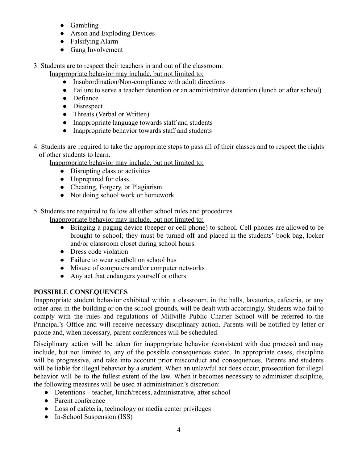- Gambling
- Arson and Exploding Devices
- Falsifying Alarm
- Gang Involvement

3. Students are to respect their teachers in and out of the classroom.

Inappropriate behavior may include, but not limited to:

- Insubordination/Non-compliance with adult directions
- Failure to serve a teacher detention or an administrative detention (lunch or after school)
- Defiance
- Disrespect
- Threats (Verbal or Written)
- Inappropriate language towards staff and students
- Inappropriate behavior towards staff and students
- 4. Students are required to take the appropriate steps to pass all of their classes and to respect the rights of other students to learn.

Inappropriate behavior may include, but not limited to:

- Disrupting class or activities
- Unprepared for class
- Cheating, Forgery, or Plagiarism
- Not doing school work or homework

5. Students are required to follow all other school rules and procedures.

- Inappropriate behavior may include, but not limited to:
	- Bringing a paging device (beeper or cell phone) to school. Cell phones are allowed to be brought to school; they must be turned off and placed in the students' book bag, locker and/or classroom closet during school hours.
	- Dress code violation
	- Failure to wear seatbelt on school bus
	- Misuse of computers and/or computer networks
	- Any act that endangers yourself or others

#### **POSSIBLE CONSEQUENCES**

Inappropriate student behavior exhibited within a classroom, in the halls, lavatories, cafeteria, or any other area in the building or on the school grounds, will be dealt with accordingly. Students who fail to comply with the rules and regulations of Millville Public Charter School will be referred to the Principal's Office and will receive necessary disciplinary action. Parents will be notified by letter or phone and, when necessary, parent conferences will be scheduled.

Disciplinary action will be taken for inappropriate behavior (consistent with due process) and may include, but not limited to, any of the possible consequences stated. In appropriate cases, discipline will be progressive, and take into account prior misconduct and consequences. Parents and students will be liable for illegal behavior by a student. When an unlawful act does occur, prosecution for illegal behavior will be to the fullest extent of the law. When it becomes necessary to administer discipline, the following measures will be used at administration's discretion:

- Detentions teacher, lunch/recess, administrative, after school
- Parent conference
- Loss of cafeteria, technology or media center privileges
- In-School Suspension (ISS)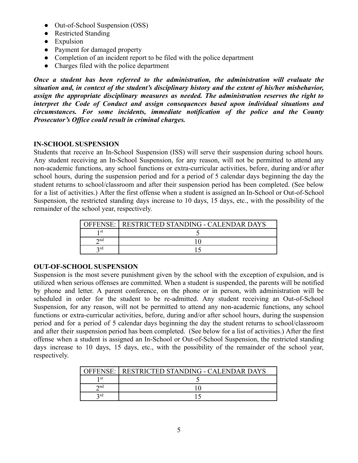- Out-of-School Suspension (OSS)
- Restricted Standing
- Expulsion
- Payment for damaged property
- Completion of an incident report to be filed with the police department
- Charges filed with the police department

*Once a student has been referred to the administration, the administration will evaluate the situation and, in context of the student's disciplinary history and the extent of his/her misbehavior, assign the appropriate disciplinary measures as needed. The administration reserves the right to interpret the Code of Conduct and assign consequences based upon individual situations and circumstances. For some incidents, immediate notification of the police and the County Prosecutor's Office could result in criminal charges.*

#### **IN-SCHOOL SUSPENSION**

Students that receive an In-School Suspension (ISS) will serve their suspension during school hours. Any student receiving an In-School Suspension, for any reason, will not be permitted to attend any non-academic functions, any school functions or extra-curricular activities, before, during and/or after school hours, during the suspension period and for a period of 5 calendar days beginning the day the student returns to school/classroom and after their suspension period has been completed. (See below for a list of activities.) After the first offense when a student is assigned an In-School or Out-of-School Suspension, the restricted standing days increase to 10 days, 15 days, etc., with the possibility of the remainder of the school year, respectively.

| <b>OFFENSE</b>         | RESTRICTED STANDING - CALENDAR DAYS |
|------------------------|-------------------------------------|
| ∣ st                   |                                     |
| $\boldsymbol{\cap}$ nd |                                     |
| 2rd                    |                                     |

#### **OUT-OF-SCHOOL SUSPENSION**

Suspension is the most severe punishment given by the school with the exception of expulsion, and is utilized when serious offenses are committed. When a student is suspended, the parents will be notified by phone and letter. A parent conference, on the phone or in person, with administration will be scheduled in order for the student to be re-admitted. Any student receiving an Out-of-School Suspension, for any reason, will not be permitted to attend any non-academic functions, any school functions or extra-curricular activities, before, during and/or after school hours, during the suspension period and for a period of 5 calendar days beginning the day the student returns to school/classroom and after their suspension period has been completed. (See below for a list of activities.) After the first offense when a student is assigned an In-School or Out-of-School Suspension, the restricted standing days increase to 10 days, 15 days, etc., with the possibility of the remainder of the school year, respectively.

|                    | RESTRICTED STANDING - CALENDAR DAYS |
|--------------------|-------------------------------------|
| 1 st               |                                     |
| $\mathbf{\sim}$ nd |                                     |
| 2rd                |                                     |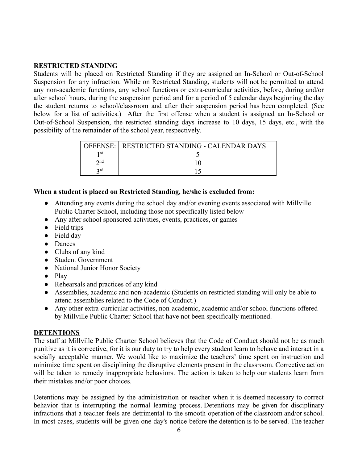#### **RESTRICTED STANDING**

Students will be placed on Restricted Standing if they are assigned an In-School or Out-of-School Suspension for any infraction. While on Restricted Standing, students will not be permitted to attend any non-academic functions, any school functions or extra-curricular activities, before, during and/or after school hours, during the suspension period and for a period of 5 calendar days beginning the day the student returns to school/classroom and after their suspension period has been completed. (See below for a list of activities.) After the first offense when a student is assigned an In-School or Out-of-School Suspension, the restricted standing days increase to 10 days, 15 days, etc., with the possibility of the remainder of the school year, respectively.

| <b>OFFENSE:</b>    | RESTRICTED STANDING - CALENDAR DAYS |
|--------------------|-------------------------------------|
| ı st               |                                     |
| $\mathbf{\sim}$ nd |                                     |
| n rd               |                                     |

#### **When a student is placed on Restricted Standing, he/she is excluded from:**

- Attending any events during the school day and/or evening events associated with Millville Public Charter School, including those not specifically listed below
- Any after school sponsored activities, events, practices, or games
- Field trips
- Field day
- Dances
- Clubs of any kind
- Student Government
- National Junior Honor Society
- Play
- Rehearsals and practices of any kind
- Assemblies, academic and non-academic (Students on restricted standing will only be able to attend assemblies related to the Code of Conduct.)
- Any other extra-curricular activities, non-academic, academic and/or school functions offered by Millville Public Charter School that have not been specifically mentioned.

#### **DETENTIONS**

The staff at Millville Public Charter School believes that the Code of Conduct should not be as much punitive as it is corrective, for it is our duty to try to help every student learn to behave and interact in a socially acceptable manner. We would like to maximize the teachers' time spent on instruction and minimize time spent on disciplining the disruptive elements present in the classroom. Corrective action will be taken to remedy inappropriate behaviors. The action is taken to help our students learn from their mistakes and/or poor choices.

Detentions may be assigned by the administration or teacher when it is deemed necessary to correct behavior that is interrupting the normal learning process. Detentions may be given for disciplinary infractions that a teacher feels are detrimental to the smooth operation of the classroom and/or school. In most cases, students will be given one day's notice before the detention is to be served. The teacher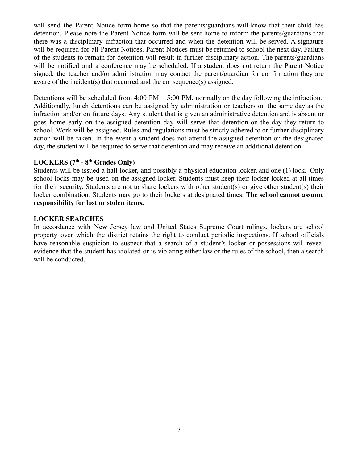will send the Parent Notice form home so that the parents/guardians will know that their child has detention. Please note the Parent Notice form will be sent home to inform the parents/guardians that there was a disciplinary infraction that occurred and when the detention will be served. A signature will be required for all Parent Notices. Parent Notices must be returned to school the next day. Failure of the students to remain for detention will result in further disciplinary action. The parents/guardians will be notified and a conference may be scheduled. If a student does not return the Parent Notice signed, the teacher and/or administration may contact the parent/guardian for confirmation they are aware of the incident(s) that occurred and the consequence(s) assigned.

Detentions will be scheduled from 4:00 PM – 5:00 PM, normally on the day following the infraction. Additionally, lunch detentions can be assigned by administration or teachers on the same day as the infraction and/or on future days. Any student that is given an administrative detention and is absent or goes home early on the assigned detention day will serve that detention on the day they return to school. Work will be assigned. Rules and regulations must be strictly adhered to or further disciplinary action will be taken. In the event a student does not attend the assigned detention on the designated day, the student will be required to serve that detention and may receive an additional detention.

#### **LOCKERS (7th - 8th Grades Only)**

Students will be issued a hall locker, and possibly a physical education locker, and one (1) lock. Only school locks may be used on the assigned locker. Students must keep their locker locked at all times for their security. Students are not to share lockers with other student(s) or give other student(s) their locker combination. Students may go to their lockers at designated times. **The school cannot assume responsibility for lost or stolen items.**

#### **LOCKER SEARCHES**

In accordance with New Jersey law and United States Supreme Court rulings, lockers are school property over which the district retains the right to conduct periodic inspections. If school officials have reasonable suspicion to suspect that a search of a student's locker or possessions will reveal evidence that the student has violated or is violating either law or the rules of the school, then a search will be conducted. .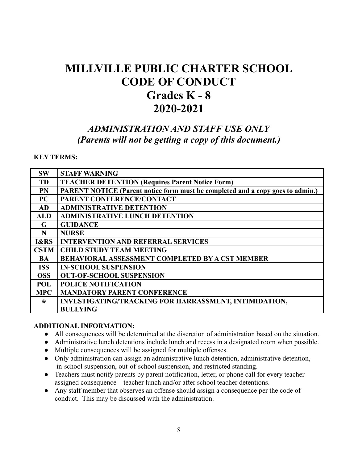## **MILLVILLE PUBLIC CHARTER SCHOOL CODE OF CONDUCT Grades K - 8 2020-2021**

## *ADMINISTRATION AND STAFF USE ONLY (Parents will not be getting a copy of this document.)*

#### **KEY TERMS:**

| <b>SW</b>       | <b>STAFF WARNING</b>                                                           |
|-----------------|--------------------------------------------------------------------------------|
| <b>TD</b>       | <b>TEACHER DETENTION (Requires Parent Notice Form)</b>                         |
| <b>PN</b>       | PARENT NOTICE (Parent notice form must be completed and a copy goes to admin.) |
| PC              | PARENT CONFERENCE/CONTACT                                                      |
| <b>AD</b>       | <b>ADMINISTRATIVE DETENTION</b>                                                |
| <b>ALD</b>      | <b>ADMINISTRATIVE LUNCH DETENTION</b>                                          |
| G               | <b>GUIDANCE</b>                                                                |
| N               | <b>NURSE</b>                                                                   |
| <b>I&amp;RS</b> | <b>INTERVENTION AND REFERRAL SERVICES</b>                                      |
| <b>CSTM</b>     | <b>CHILD STUDY TEAM MEETING</b>                                                |
| BA              | <b>BEHAVIORAL ASSESSMENT COMPLETED BY A CST MEMBER</b>                         |
| <b>ISS</b>      | <b>IN-SCHOOL SUSPENSION</b>                                                    |
| <b>OSS</b>      | <b>OUT-OF-SCHOOL SUSPENSION</b>                                                |
| POL             | <b>POLICE NOTIFICATION</b>                                                     |
| <b>MPC</b>      | <b>MANDATORY PARENT CONFERENCE</b>                                             |
| $\star$         | <b>INVESTIGATING/TRACKING FOR HARRASSMENT, INTIMIDATION,</b>                   |
|                 | <b>BULLYING</b>                                                                |

#### **ADDITIONAL INFORMATION:**

- All consequences will be determined at the discretion of administration based on the situation.
- Administrative lunch detentions include lunch and recess in a designated room when possible.
- Multiple consequences will be assigned for multiple offenses.
- Only administration can assign an administrative lunch detention, administrative detention, in-school suspension, out-of-school suspension, and restricted standing.
- Teachers must notify parents by parent notification, letter, or phone call for every teacher assigned consequence – teacher lunch and/or after school teacher detentions.
- Any staff member that observes an offense should assign a consequence per the code of conduct. This may be discussed with the administration.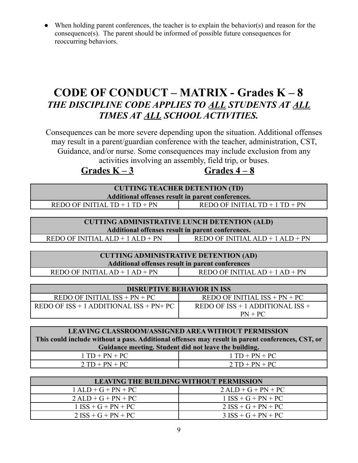• When holding parent conferences, the teacher is to explain the behavior(s) and reason for the consequence(s). The parent should be informed of possible future consequences for reoccurring behaviors.

## **CODE OF CONDUCT – MATRIX - Grades K – 8** *THE DISCIPLINE CODE APPLIES TO ALL STUDENTS AT ALL TIMES AT ALL SCHOOL ACTIVITIES.*

Consequences can be more severe depending upon the situation. Additional offenses may result in a parent/guardian conference with the teacher, administration, CST, Guidance, and/or nurse. Some consequences may include exclusion from any activities involving an assembly, field trip, or buses.

### $G$ rades  $K - 3$  **Grades**  $4 - 8$

| <b>CUTTING TEACHER DETENTION (TD)</b><br>Additional offenses result in parent conferences. |                                  |  |
|--------------------------------------------------------------------------------------------|----------------------------------|--|
| REDO OF INITIAL $TD + 1 TD + PN$                                                           | REDO OF INITIAL $TD + 1 TD + PN$ |  |

**CUTTING ADMINISTRATIVE LUNCH DETENTION (ALD) Additional offenses result in parent conferences.**

| <b>CUTTING ADMINISTRATIVE DETENTION (AD)</b>                             |  |  |
|--------------------------------------------------------------------------|--|--|
| Additional offenses result in parent conferences                         |  |  |
| $REDO$ OF INITIAL $AD + 1 AD + PN$<br>$REDO$ OF INITIAL $AD + 1 AD + PN$ |  |  |

| <b>DISRUPTIVE BEHAVIOR IN ISS</b>            |                                      |  |
|----------------------------------------------|--------------------------------------|--|
| $REDO$ OF INITIAL $ISS + PN + PC$            | REDO OF INITIAL $ISS + PN + PC$      |  |
| REDO OF $ISS + 1$ ADDITIONAL $ISS + PN + PC$ | REDO OF $ISS + 1$ ADDITIONAL $ISS +$ |  |
|                                              | $PN + PC$                            |  |

| <b>LEAVING CLASSROOM/ASSIGNED AREA WITHOUT PERMISSION</b>                                        |                  |  |
|--------------------------------------------------------------------------------------------------|------------------|--|
| This could include without a pass. Additional offenses may result in parent conferences, CST, or |                  |  |
| Guidance meeting. Student did not leave the building.                                            |                  |  |
| $1 TD + PN + PC$                                                                                 | $1 TD + PN + PC$ |  |
| $2 TD + PN + PC$                                                                                 | $2 TD + PN + PC$ |  |

| <b>LEAVING THE BUILDING WITHOUT PERMISSION</b>    |                       |  |
|---------------------------------------------------|-----------------------|--|
| $1 \text{ALD} + G + PN + PC$                      | $2$ ALD + G + PN + PC |  |
| $2 \text{ALD} + \text{G} + \text{PN} + \text{PC}$ | $1$ ISS + G + PN + PC |  |
| $1$ ISS + G + PN + PC                             | $2$ ISS + G + PN + PC |  |
| $2$ ISS + G + PN + PC                             | $3$ ISS + G + PN + PC |  |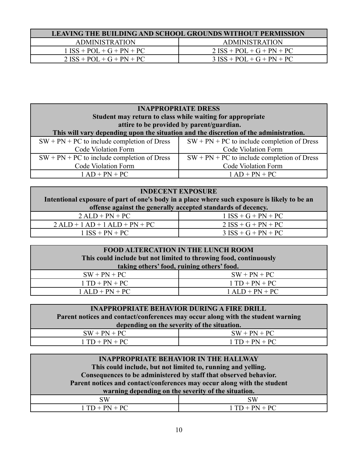| <b>LEAVING THE BUILDING AND SCHOOL GROUNDS WITHOUT PERMISSION</b> |                             |  |
|-------------------------------------------------------------------|-----------------------------|--|
| <b>ADMINISTRATION</b>                                             | <b>ADMINISTRATION</b>       |  |
| $1$ ISS + POL + G + PN + PC                                       | $2$ ISS + POL + G + PN + PC |  |
| $2$ ISS + POL + G + PN + PC                                       | $3$ ISS + POL + G + PN + PC |  |

| <b>INAPPROPRIATE DRESS</b><br>Student may return to class while waiting for appropriate<br>attire to be provided by parent/guardian.<br>This will vary depending upon the situation and the discretion of the administration. |                                               |  |
|-------------------------------------------------------------------------------------------------------------------------------------------------------------------------------------------------------------------------------|-----------------------------------------------|--|
| $SW + PN + PC$ to include completion of Dress                                                                                                                                                                                 | $SW + PN + PC$ to include completion of Dress |  |
| Code Violation Form                                                                                                                                                                                                           | <b>Code Violation Form</b>                    |  |
| $SW + PN + PC$ to include completion of Dress                                                                                                                                                                                 | $SW + PN + PC$ to include completion of Dress |  |
| Code Violation Form                                                                                                                                                                                                           | Code Violation Form                           |  |
| $1 AD + PN + PC$                                                                                                                                                                                                              | $1 AD + PN + PC$                              |  |

| <b>INDECENT EXPOSURE</b>                                                                     |                       |  |
|----------------------------------------------------------------------------------------------|-----------------------|--|
| Intentional exposure of part of one's body in a place where such exposure is likely to be an |                       |  |
| offense against the generally accepted standards of decency.                                 |                       |  |
| $2 \text{ALD} + \text{PN} + \text{PC}$                                                       | $1$ ISS + G + PN + PC |  |
| $2 \text{ALD} + 1 \text{AD} + 1 \text{ALD} + \text{PN} + \text{PC}$                          | $2$ ISS + G + PN + PC |  |
| $1$ ISS + PN + PC                                                                            | $3$ ISS + G + PN + PC |  |
|                                                                                              |                       |  |

| <b>FOOD ALTERCATION IN THE LUNCH ROOM</b>                         |                   |
|-------------------------------------------------------------------|-------------------|
| This could include but not limited to throwing food, continuously |                   |
| taking others' food, ruining others' food.                        |                   |
| $SW + PN + PC$                                                    | $SW + PN + PC$    |
| $1 TD + PN + PC$                                                  | $1 TD + PN + PC$  |
| $1 \text{ALD} + \text{PN} + \text{PC}$                            | $1$ ALD + PN + PC |

|  | <b>INAPPROPRIATE BEHAVIOR DURING A FIRE DRILL</b> |
|--|---------------------------------------------------|
|--|---------------------------------------------------|

| Parent notices and contact/conferences may occur along with the student warning |                  |
|---------------------------------------------------------------------------------|------------------|
| depending on the severity of the situation.                                     |                  |
| $SW + PN + PC$                                                                  | $SW + PN + PC$   |
| $1 TD + PN + PC$                                                                | $1 TD + PN + PC$ |

| <b>INAPPROPRIATE BEHAVIOR IN THE HALLWAY</b>                            |                  |
|-------------------------------------------------------------------------|------------------|
| This could include, but not limited to, running and yelling.            |                  |
| Consequences to be administered by staff that observed behavior.        |                  |
| Parent notices and contact/conferences may occur along with the student |                  |
| warning depending on the severity of the situation.                     |                  |
| <b>SW</b>                                                               | <b>SW</b>        |
| $1 TD + PN + PC$                                                        | $1 TD + PN + PC$ |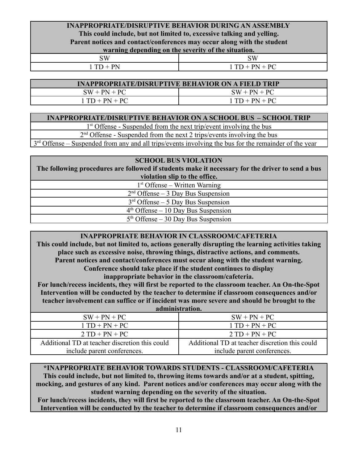#### **INAPPROPRIATE/DISRUPTIVE BEHAVIOR DURING AN ASSEMBLY This could include, but not limited to, excessive talking and yelling. Parent notices and contact/conferences may occur along with the student warning depending on the severity of the situation.**

| 3W<br>້ | SW                                  |
|---------|-------------------------------------|
| n.<br>. | $\perp$ DC.<br><b>.</b><br><b>.</b> |

#### **INAPPROPRIATE/DISRUPTIVE BEHAVIOR ON A FIELD TRIP**

 $SW + PN + PC$   $SW + PN + PC$ 

 $1 TD + PN + PC$  1 TD + PN + PC

#### **INAPPROPRIATE/DISRUPTIVE BEHAVIOR ON A SCHOOL BUS – SCHOOL TRIP**

1<sup>st</sup> Offense - Suspended from the next trip/event involving the bus

2<sup>nd</sup> Offense - Suspended from the next 2 trips/events involving the bus

3<sup>rd</sup> Offense – Suspended from any and all trips/events involving the bus for the remainder of the year

#### **SCHOOL BUS VIOLATION**

**The following procedures are followed if students make it necessary for the driver to send a bus violation slip to the office.**

1 st Offense – Written Warning

2<sup>nd</sup> Offense – 3 Day Bus Suspension

3<sup>rd</sup> Offense – 5 Day Bus Suspension

4 th Offense – 10 Day Bus Suspension

5<sup>th</sup> Offense – 30 Day Bus Suspension

#### **INAPPROPRIATE BEHAVIOR IN CLASSROOM/CAFETERIA**

**This could include, but not limited to, actions generally disrupting the learning activities taking place such as excessive noise, throwing things, distractive actions, and comments. Parent notices and contact/conferences must occur along with the student warning. Conference should take place if the student continues to display inappropriate behavior in the classroom/cafeteria.**

**For lunch/recess incidents, they will first be reported to the classroom teacher. An On-the-Spot Intervention will be conducted by the teacher to determine if classroom consequences and/or teacher involvement can suffice or if incident was more severe and should be brought to the**

| --------------------------- |  |
|-----------------------------|--|
| administration.             |  |

| $SW + PN + PC$                                 | $SW + PN + PC$                                 |
|------------------------------------------------|------------------------------------------------|
| $1 TD + PN + PC$                               | $1 TD + PN + PC$                               |
| $2 TD + PN + PC$                               | $2 TD + PN + PC$                               |
| Additional TD at teacher discretion this could | Additional TD at teacher discretion this could |
| include parent conferences.                    | include parent conferences.                    |

#### **\*INAPPROPRIATE BEHAVIOR TOWARDS STUDENTS - CLASSROOM/CAFETERIA**

**This could include, but not limited to, throwing items towards and/or at a student, spitting, mocking, and gestures of any kind. Parent notices and/or conferences may occur along with the student warning depending on the severity of the situation.**

**For lunch/recess incidents, they will first be reported to the classroom teacher. An On-the-Spot Intervention will be conducted by the teacher to determine if classroom consequences and/or**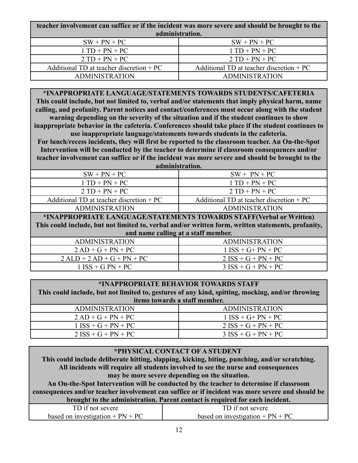| teacher involvement can suffice or if the incident was more severe and should be brought to the |                                           |
|-------------------------------------------------------------------------------------------------|-------------------------------------------|
| administration.                                                                                 |                                           |
| $SW + PN + PC$                                                                                  | $SW + PN + PC$                            |
| $1 TD + PN + PC$                                                                                | $1 TD + PN + PC$                          |
| $2 TD + PN + PC$                                                                                | $2 TD + PN + PC$                          |
| Additional TD at teacher discretion $+PC$                                                       | Additional TD at teacher discretion $+PC$ |
| <b>ADMINISTRATION</b>                                                                           | <b>ADMINISTRATION</b>                     |

#### **\*INAPPROPRIATE LANGUAGE/STATEMENTS TOWARDS STUDENTS/CAFETERIA**

**This could include, but not limited to, verbal and/or statements that imply physical harm, name calling, and profanity. Parent notices and contact/conferences must occur along with the student warning depending on the severity of the situation and if the student continues to show inappropriate behavior in the cafeteria. Conferences should take place if the student continues to use inappropriate language/statements towards students in the cafeteria.**

**For lunch/recess incidents, they will first be reported to the classroom teacher. An On-the-Spot Intervention will be conducted by the teacher to determine if classroom consequences and/or teacher involvement can suffice or if the incident was more severe and should be brought to the administration.**

| aummon auvn.                                                                                       |  |  |
|----------------------------------------------------------------------------------------------------|--|--|
| $SW + PN + PC$                                                                                     |  |  |
| $1 TD + PN + PC$                                                                                   |  |  |
| $2 TD + PN + PC$                                                                                   |  |  |
| Additional TD at teacher discretion $+PC$                                                          |  |  |
| <b>ADMINISTRATION</b>                                                                              |  |  |
| *INAPPROPRIATE LANGUAGE/STATEMENTS TOWARDS STAFF(Verbal or Written)                                |  |  |
| This could include, but not limited to, verbal and/or written form, written statements, profanity, |  |  |
| and name calling at a staff member.                                                                |  |  |
| <b>ADMINISTRATION</b>                                                                              |  |  |
| $1$ ISS + G+ PN + PC                                                                               |  |  |
| $2$ ISS + G + PN + PC                                                                              |  |  |
| $3$ ISS + G + PN + PC                                                                              |  |  |
|                                                                                                    |  |  |

| *INAPPROPRIATE BEHAVIOR TOWARDS STAFF<br>This could include, but not limited to, gestures of any kind, spitting, mocking, and/or throwing |                       |
|-------------------------------------------------------------------------------------------------------------------------------------------|-----------------------|
| items towards a staff member.                                                                                                             |                       |
| <b>ADMINISTRATION</b>                                                                                                                     | <b>ADMINISTRATION</b> |
| $2 AD + G + PN + PC$                                                                                                                      | $1$ ISS + G+ PN + PC  |
| $1$ ISS + G + PN + PC                                                                                                                     | $2$ ISS + G + PN + PC |
| $2$ ISS + G + PN + PC                                                                                                                     | $3$ ISS + G + PN + PC |

| *PHYSICAL CONTACT OF A STUDENT                                                                   |                                    |  |
|--------------------------------------------------------------------------------------------------|------------------------------------|--|
| This could include deliberate hitting, slapping, kicking, biting, punching, and/or scratching.   |                                    |  |
| All incidents will require all students involved to see the nurse and consequences               |                                    |  |
| may be more severe depending on the situation.                                                   |                                    |  |
| An On-the-Spot Intervention will be conducted by the teacher to determine if classroom           |                                    |  |
| consequences and/or teacher involvement can suffice or if incident was more severe and should be |                                    |  |
| brought to the administration. Parent contact is required for each incident.                     |                                    |  |
| TD if not severe                                                                                 | TD if not severe                   |  |
| based on investigation $+ PN + PC$                                                               | based on investigation $+ PN + PC$ |  |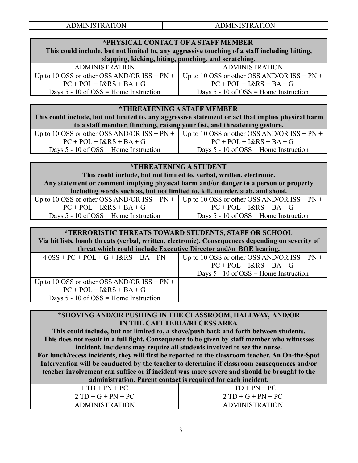**ADMINISTRATION** 

#### **\*PHYSICAL CONTACT OF A STAFF MEMBER This could include, but not limited to, any aggressive touching of a staff including hitting, slapping, kicking, biting, punching, and scratching.** ADMINISTRATION ADMINISTRATION Up to 10 OSS or other OSS AND/OR  $ISS + PN +$  $PC + POL + I&RS + BA + G$ Days  $5 - 10$  of  $\text{OSS} = \text{Home}$  Instruction Up to 10 OSS or other OSS AND/OR  $ISS + PN +$  $PC + POL + I&RS + BA + G$ Days  $5 - 10$  of  $OSS =$  Home Instruction

#### **\*THREATENING A STAFF MEMBER**

**This could include, but not limited to, any aggressive statement or act that implies physical harm to a staff member, flinching, raising your fist, and threatening gesture.**

| Up to 10 OSS or other OSS AND/OR ISS + PN +   Up to 10 OSS or other OSS AND/OR ISS + PN + |                                                         |
|-------------------------------------------------------------------------------------------|---------------------------------------------------------|
| $PC + POL + I&RS + BA + G$                                                                | $PC + POL + I&RS + BA + G$                              |
| Days $5 - 10$ of $OSS =$ Home Instruction                                                 | Days $5 - 10$ of $\text{OSS} = \text{Home}$ Instruction |

#### **\*THREATENING A STUDENT**

**This could include, but not limited to, verbal, written, electronic. Any statement or comment implying physical harm and/or danger to a person or property including words such as, but not limited to, kill, murder, stab, and shoot.**

|                                                         | Up to 10 OSS or other OSS AND/OR $ISS + PN +$ Up to 10 OSS or other OSS AND/OR $ISS + PN +$ |
|---------------------------------------------------------|---------------------------------------------------------------------------------------------|
| $PC + POL + I&RS + BA + G$                              | $PC + POL + I&RS + BA + G$                                                                  |
| Days $5 - 10$ of $\text{OSS} = \text{Home}$ Instruction | Days $5 - 10$ of $OSS =$ Home Instruction                                                   |

#### **\*TERRORISTIC THREATS TOWARD STUDENTS, STAFF OR SCHOOL Via hit lists, bomb threats (verbal, written, electronic). Consequences depending on severity of threat which could include Executive Director and/or BOE hearing.**

| $40SS + PC + POL + G + I&RS + BA + PN$        | Up to 10 OSS or other OSS AND/OR $ISS + PN +$ |
|-----------------------------------------------|-----------------------------------------------|
|                                               | $PC + POL + I&RS + BA + G$                    |
|                                               | Days $5 - 10$ of OSS = Home Instruction       |
| Up to 10 OSS or other OSS AND/OR $ISS + PN +$ |                                               |
| $PC + POL + I&RS + BA + G$                    |                                               |
| Days $5 - 10$ of OSS = Home Instruction       |                                               |

#### **\*SHOVING AND/OR PUSHING IN THE CLASSROOM, HALLWAY, AND/OR IN THE CAFETERIA/RECESS AREA**

**This could include, but not limited to, a shove/push back and forth between students. This does not result in a full fight. Consequence to be given by staff member who witnesses incident. Incidents may require all students involved to see the nurse.**

**For lunch/recess incidents, they will first be reported to the classroom teacher. An On-the-Spot Intervention will be conducted by the teacher to determine if classroom consequences and/or teacher involvement can suffice or if incident was more severe and should be brought to the administration. Parent contact is required for each incident.**

| auministrativii. 1 archi contact is required for each mendent. |                       |  |  |
|----------------------------------------------------------------|-----------------------|--|--|
| $1 TD + PN + PC$                                               | $1 TD + PN + PC$      |  |  |
| $2 TD + G + PN + PC$                                           | $2 TD + G + PN + PC$  |  |  |
| <b>ADMINISTRATION</b>                                          | <b>ADMINISTRATION</b> |  |  |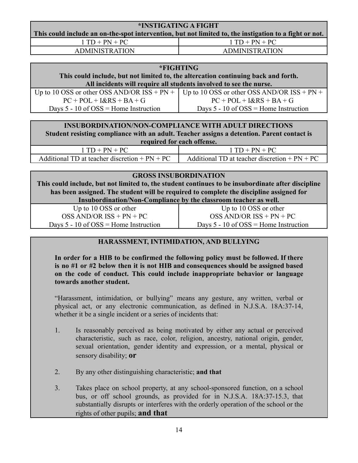| *INSTIGATING A FIGHT                                                                                   |                       |  |
|--------------------------------------------------------------------------------------------------------|-----------------------|--|
| This could include an on-the-spot intervention, but not limited to, the instigation to a fight or not. |                       |  |
| $1 TD + PN + PC$                                                                                       | $1 TD + PN + PC$      |  |
| <b>ADMINISTRATION</b>                                                                                  | <b>ADMINISTRATION</b> |  |

| *FIGHTING                                                                          |                                                                                           |  |  |
|------------------------------------------------------------------------------------|-------------------------------------------------------------------------------------------|--|--|
| This could include, but not limited to, the altercation continuing back and forth. |                                                                                           |  |  |
| All incidents will require all students involved to see the nurse.                 |                                                                                           |  |  |
|                                                                                    | Up to 10 OSS or other OSS AND/OR ISS + PN +   Up to 10 OSS or other OSS AND/OR ISS + PN + |  |  |
| $PC + POL + I&RS + BA + G$                                                         | $PC + POL + I&RS + BA + G$                                                                |  |  |
| Days $5 - 10$ of OSS = Home Instruction                                            | Days $5 - 10$ of $OSS =$ Home Instruction                                                 |  |  |
|                                                                                    |                                                                                           |  |  |

|  |  | <b>INSUBORDINATION/NON-COMPLIANCE WITH ADULT DIRECTIONS</b> |  |  |  |  |
|--|--|-------------------------------------------------------------|--|--|--|--|
|  |  |                                                             |  |  |  |  |

**Student resisting compliance with an adult. Teacher assigns a detention. Parent contact is required for each offense.**

| $1 TD + PN + PC$                                | $1 TD + PN + PC$                                |
|-------------------------------------------------|-------------------------------------------------|
| Additional TD at teacher discretion $+ PN + PC$ | Additional TD at teacher discretion $+ PN + PC$ |

#### **GROSS INSUBORDINATION**

**This could include, but not limited to, the student continues to be insubordinate after discipline has been assigned. The student will be required to complete the discipline assigned for Insubordination/Non-Compliance by the classroom teacher as well.**

Up to 10 OSS or other  $OSS AND/OR ISS + PN + PC$ Days 5 - 10 of OSS = Home Instruction

Up to 10 OSS or other OSS AND/OR ISS + PN + PC Days 5 - 10 of OSS = Home Instruction

#### **HARASSMENT, INTIMIDATION, AND BULLYING**

**In order for a HIB to be confirmed the following policy must be followed. If there is no #1 or #2 below then it is not HIB and consequences should be assigned based on the code of conduct. This could include inappropriate behavior or language towards another student.**

"Harassment, intimidation, or bullying" means any gesture, any written, verbal or physical act, or any electronic communication, as defined in N.J.S.A. 18A:37-14, whether it be a single incident or a series of incidents that:

- 1. Is reasonably perceived as being motivated by either any actual or perceived characteristic, such as race, color, religion, ancestry, national origin, gender, sexual orientation, gender identity and expression, or a mental, physical or sensory disability; **or**
- 2. By any other distinguishing characteristic; **and that**
- 3. Takes place on school property, at any school-sponsored function, on a school bus, or off school grounds, as provided for in N.J.S.A. 18A:37-15.3, that substantially disrupts or interferes with the orderly operation of the school or the rights of other pupils; **and that**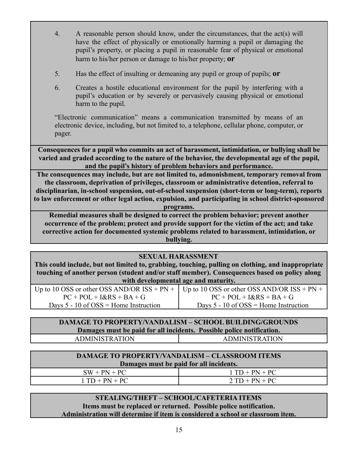- 4. A reasonable person should know, under the circumstances, that the act(s) will have the effect of physically or emotionally harming a pupil or damaging the pupil's property, or placing a pupil in reasonable fear of physical or emotional harm to his/her person or damage to his/her property; **or**
- 5. Has the effect of insulting or demeaning any pupil or group of pupils; **or**
- 6. Creates a hostile educational environment for the pupil by interfering with a pupil's education or by severely or pervasively causing physical or emotional harm to the pupil.

"Electronic communication" means a communication transmitted by means of an electronic device, including, but not limited to, a telephone, cellular phone, computer, or pager.

**Consequences for a pupil who commits an act of harassment, intimidation, or bullying shall be varied and graded according to the nature of the behavior, the developmental age of the pupil, and the pupil's history of problem behaviors and performance.**

**The consequences may include, but are not limited to, admonishment, temporary removal from the classroom, deprivation of privileges, classroom or administrative detention, referral to disciplinarian, in-school suspension, out-of-school suspension (short-term or long-term), reports to law enforcement or other legal action, expulsion, and participating in school district-sponsored**

**programs.**

**Remedial measures shall be designed to correct the problem behavior; prevent another occurrence of the problem; protect and provide support for the victim of the act; and take corrective action for documented systemic problems related to harassment, intimidation, or bullying.**

| <b>SEXUAL HARASSMENT</b>                                                                           |                                         |  |
|----------------------------------------------------------------------------------------------------|-----------------------------------------|--|
| This could include, but not limited to, grabbing, touching, pulling on clothing, and inappropriate |                                         |  |
| touching of another person (student and/or staff member). Consequences based on policy along       |                                         |  |
| with developmental age and maturity.                                                               |                                         |  |
| Up to 10 OSS or other OSS AND/OR $ISS + PN +$ Up to 10 OSS or other OSS AND/OR $ISS + PN +$        |                                         |  |
| $PC + POL + I&RS + BA + G$                                                                         | $PC + POL + I&RS + BA + G$              |  |
| Days $5 - 10$ of $OSS =$ Home Instruction                                                          | Days $5 - 10$ of OSS = Home Instruction |  |

#### **DAMAGE TO PROPERTY/VANDALISM – SCHOOL BUILDING/GROUNDS Damages must be paid for all incidents. Possible police notification.** ADMINISTRATION ADMINISTRATION

| <b>DAMAGE TO PROPERTY/VANDALISM – CLASSROOM ITEMS</b> |                  |  |
|-------------------------------------------------------|------------------|--|
| Damages must be paid for all incidents.               |                  |  |
| $SW + PN + PC$                                        | $1 TD + PN + PC$ |  |
| $1 TD + PN + PC$                                      | $2 TD + PN + PC$ |  |

#### **STEALING/THEFT – SCHOOL/CAFETERIA ITEMS Items must be replaced or returned. Possible police notification. Administration will determine if item is considered a school or classroom item.**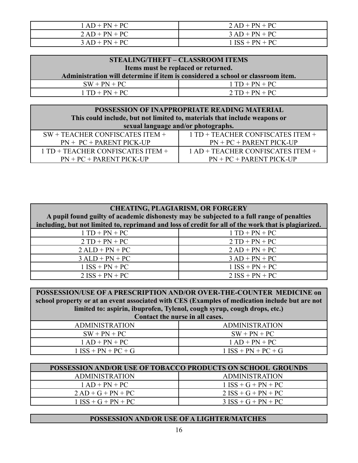| $1 AD + PN + PC$ | $2 AD + PN + PC$  |
|------------------|-------------------|
| $2 AD + PN + PC$ | $3 AD + PN + PC$  |
| $3 AD + PN + PC$ | $1$ ISS + PN + PC |

| STEALING/THEFT – CLASSROOM ITEMS                                                |  |
|---------------------------------------------------------------------------------|--|
| Items must be replaced or returned.                                             |  |
| Administration will determine if item is considered a school or classroom item. |  |
| $1 TD + PN + PC$                                                                |  |
| $2 TD + PN + PC$                                                                |  |
|                                                                                 |  |

| POSSESSION OF INAPPROPRIATE READING MATERIAL                              |                                   |
|---------------------------------------------------------------------------|-----------------------------------|
| This could include, but not limited to, materials that include weapons or |                                   |
| sexual language and/or photographs.                                       |                                   |
| $SW + TEACHER CONFISCATES ITEM +$                                         | 1 TD + TEACHER CONFISCATES ITEM + |
| $PN + PC + PARENT PICK-UP$                                                | $PN + PC + PARENT PICK-UP$        |
| 1 TD + TEACHER CONFISCATES ITEM +                                         | 1 AD + TEACHER CONFISCATES ITEM + |
| $PN + PC + PARENT PICK-UP$                                                | $PN + PC + PARENT PICK-UP$        |

| <b>CHEATING, PLAGIARISM, OR FORGERY</b><br>A pupil found guilty of academic dishonesty may be subjected to a full range of penalties<br>including, but not limited to, reprimand and loss of credit for all of the work that is plagiarized. |                   |  |
|----------------------------------------------------------------------------------------------------------------------------------------------------------------------------------------------------------------------------------------------|-------------------|--|
| $1 TD + PN + PC$                                                                                                                                                                                                                             | $1 TD + PN + PC$  |  |
| $2 TD + PN + PC$                                                                                                                                                                                                                             | $2 TD + PN + PC$  |  |
| $2 \text{ALD} + \text{PN} + \text{PC}$                                                                                                                                                                                                       | $2 AD + PN + PC$  |  |
| $3$ ALD + PN + PC                                                                                                                                                                                                                            | $3 AD + PN + PC$  |  |
| $1$ ISS + PN + PC                                                                                                                                                                                                                            | $1$ ISS + PN + PC |  |
| $2$ ISS + PN + PC                                                                                                                                                                                                                            | $2$ ISS + PN + PC |  |

**POSSESSION/USE OF A PRESCRIPTION AND/OR OVER-THE-COUNTER MEDICINE on school property or at an event associated with CES (Examples of medication include but are not limited to: aspirin, ibuprofen, Tylenol, cough syrup, cough drops, etc.) Contact the nurse in all cases.**

| Contact the nurse in an cases. |                       |
|--------------------------------|-----------------------|
| <b>ADMINISTRATION</b>          | <b>ADMINISTRATION</b> |
| $SW + PN + PC$                 | $SW + PN + PC$        |
| $1 AD + PN + PC$               | $1 AD + PN + PC$      |
| $1$ ISS + PN + PC + G          | $1$ ISS + PN + PC + G |

| <b>POSSESSION AND/OR USE OF TOBACCO PRODUCTS ON SCHOOL GROUNDS</b> |                       |
|--------------------------------------------------------------------|-----------------------|
| <b>ADMINISTRATION</b>                                              | <b>ADMINISTRATION</b> |
| $1 AD + PN + PC$                                                   | $1$ ISS + G + PN + PC |
| $2 AD + G + PN + PC$                                               | $2$ ISS + G + PN + PC |
| $1$ ISS + G + PN + PC                                              | $3$ ISS + G + PN + PC |

#### **POSSESSION AND/OR USE OF A LIGHTER/MATCHES**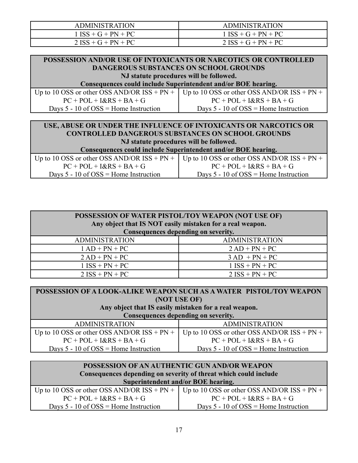| <b>ADMINISTRATION</b> | <b>ADMINISTRATION</b> |
|-----------------------|-----------------------|
| $1$ ISS + G + PN + PC | $1$ ISS + G + PN + PC |
| $2$ ISS + G + PN + PC | $2$ ISS + G + PN + PC |

| POSSESSION AND/OR USE OF INTOXICANTS OR NARCOTICS OR CONTROLLED |  |
|-----------------------------------------------------------------|--|
| <b>DANGEROUS SUBSTANCES ON SCHOOL GROUNDS</b>                   |  |
| NJ statute procedures will be followed.                         |  |
| Consequences could include Superintendent and/or DOF heaving    |  |

**Consequences could include Superintendent and/or BOE hearing.**

| Up to 10 OSS or other OSS AND/OR $ISS + PN +$ Up to 10 OSS or other OSS AND/OR $ISS + PN +$ |                                           |
|---------------------------------------------------------------------------------------------|-------------------------------------------|
| $PC + POL + I&RS + BA + G$                                                                  | $PC + POL + I&RS + BA + G$                |
| Days $5 - 10$ of $OSS =$ Home Instruction                                                   | Days $5 - 10$ of $OSS =$ Home Instruction |

#### **USE, ABUSE OR UNDER THE INFLUENCE OF INTOXICANTS OR NARCOTICS OR CONTROLLED DANGEROUS SUBSTANCES ON SCHOOL GROUNDS NJ statute procedures will be followed. Consequences could include Superintendent and/or BOE hearing.** Up to 10 OSS or other OSS AND/OR  $ISS + PN +$  Up to 10 OSS or other OSS AND/OR  $ISS + PN +$

| י דודי טטו אוטןארגעט וואווען ווי טעט און יי דודי טטו אוןטאמאגעט וואווען עטט און שווען ווי טען א |                                                         |
|-------------------------------------------------------------------------------------------------|---------------------------------------------------------|
| $PC + POL + I&RS + BA + G$                                                                      | $PC + POL + I&RS + BA + G$                              |
| Days $5 - 10$ of $OSS =$ Home Instruction                                                       | Days $5 - 10$ of $\text{OSS} = \text{Home}$ Instruction |

| POSSESSION OF WATER PISTOL/TOY WEAPON (NOT USE OF)<br>Any object that IS NOT easily mistaken for a real weapon.<br>Consequences depending on severity. |                       |
|--------------------------------------------------------------------------------------------------------------------------------------------------------|-----------------------|
| <b>ADMINISTRATION</b>                                                                                                                                  | <b>ADMINISTRATION</b> |
| $1 AD + PN + PC$                                                                                                                                       | $2 AD + PN + PC$      |
| $2 AD + PN + PC$                                                                                                                                       | $3 AD + PN + PC$      |
| $1$ ISS + PN + PC                                                                                                                                      | $1$ ISS + PN + PC     |
| $2$ ISS + PN + PC                                                                                                                                      | $2$ ISS + PN + PC     |

| POSSESSION OF A LOOK-ALIKE WEAPON SUCH AS A WATER PISTOL/TOY WEAPON |                                               |  |
|---------------------------------------------------------------------|-----------------------------------------------|--|
| (NOT USE OF)                                                        |                                               |  |
| Any object that IS easily mistaken for a real weapon.               |                                               |  |
| Consequences depending on severity.                                 |                                               |  |
| <b>ADMINISTRATION</b>                                               | <b>ADMINISTRATION</b>                         |  |
| Up to 10 OSS or other OSS AND/OR $ISS + PN +$                       | Up to 10 OSS or other OSS AND/OR $ISS + PN +$ |  |
| $PC + POL + I&RS + BA + G$                                          | $PC + POL + I&RS + BA + G$                    |  |
| Days $5 - 10$ of $OSS =$ Home Instruction                           | Days $5 - 10$ of $OSS =$ Home Instruction     |  |

| POSSESSION OF AN AUTHENTIC GUN AND/OR WEAPON<br>Consequences depending on severity of threat which could include |                                                                                             |
|------------------------------------------------------------------------------------------------------------------|---------------------------------------------------------------------------------------------|
| Superintendent and/or BOE hearing.                                                                               |                                                                                             |
|                                                                                                                  | Up to 10 OSS or other OSS AND/OR $ISS + PN +$ Up to 10 OSS or other OSS AND/OR $ISS + PN +$ |
| $PC + POL + I&RS + BA + G$                                                                                       | $PC + POL + I&RS + BA + G$                                                                  |
| Days $5 - 10$ of $OSS =$ Home Instruction                                                                        | Days $5 - 10$ of $OSS =$ Home Instruction                                                   |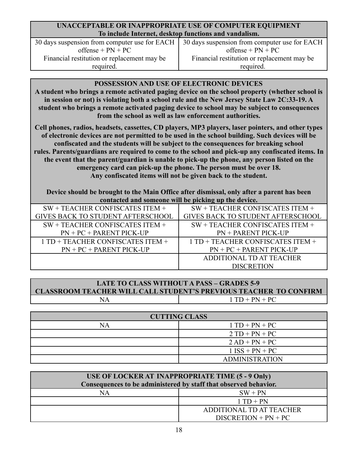#### **UNACCEPTABLE OR INAPPROPRIATE USE OF COMPUTER EQUIPMENT To include Internet, desktop functions and vandalism.**

30 days suspension from computer use for EACH  $offset = PN + PC$ Financial restitution or replacement may be required.

#### **POSSESSION AND USE OF ELECTRONIC DEVICES**

**A student who brings a remote activated paging device on the school property (whether school is in session or not) is violating both a school rule and the New Jersey State Law 2C:33-19. A student who brings a remote activated paging device to school may be subject to consequences from the school as well as law enforcement authorities.**

**Cell phones, radios, headsets, cassettes, CD players, MP3 players, laser pointers, and other types of electronic devices are not permitted to be used in the school building. Such devices will be confiscated and the students will be subject to the consequences for breaking school rules. Parents/guardians are required to come to the school and pick-up any confiscated items. In the event that the parent/guardian is unable to pick-up the phone, any person listed on the emergency card can pick-up the phone. The person must be over 18. Any confiscated items will not be given back to the student.**

**Device should be brought to the Main Office after dismissal, only after a parent has been contacted and someone will be picking up the device.**

| $SW + TEACHER CONFISCATES ITEM +$        | $SW + TEACHER CONFISCATES ITEM +$        |
|------------------------------------------|------------------------------------------|
| <b>GIVES BACK TO STUDENT AFTERSCHOOL</b> | <b>GIVES BACK TO STUDENT AFTERSCHOOL</b> |
| $SW + TEACHER CONFISCATES ITEM +$        | $SW + TEACHER CONFISCATES ITEM +$        |
| $PN + PC + PARENT PICK-UP$               | $PN + PARENT PICK-UP$                    |
| $1 TD + TEACHER CONFISCATES ITEM +$      | $1 TD + TEACHER CONFISCATES ITEM +$      |
| $PN + PC + PARENT PICK-UP$               | $PN + PC + PARENT PICK-UP$               |
|                                          | ADDITIONAL TD AT TEACHER                 |
|                                          | <b>DISCRETION</b>                        |

#### **LATE TO CLASS WITHOUT A PASS – GRADES 5-9 CLASSROOM TEACHER WILL CALL STUDENT'S PREVIOUS TEACHER TO CONFIRM**  $NA$  1 TD + PN + PC

| <b>CUTTING CLASS</b> |                       |  |
|----------------------|-----------------------|--|
| NA                   | $1 TD + PN + PC$      |  |
|                      | $2 TD + PN + PC$      |  |
|                      | $2 AD + PN + PC$      |  |
|                      | $1$ ISS + PN + PC     |  |
|                      | <b>ADMINISTRATION</b> |  |

| USE OF LOCKER AT INAPPROPRIATE TIME (5 - 9 Only)                 |                          |
|------------------------------------------------------------------|--------------------------|
| Consequences to be administered by staff that observed behavior. |                          |
| NA                                                               | $SW + PN$                |
|                                                                  | $1 TD + PN$              |
|                                                                  | ADDITIONAL TD AT TEACHER |
|                                                                  | $DISCRETION + PN + PC$   |